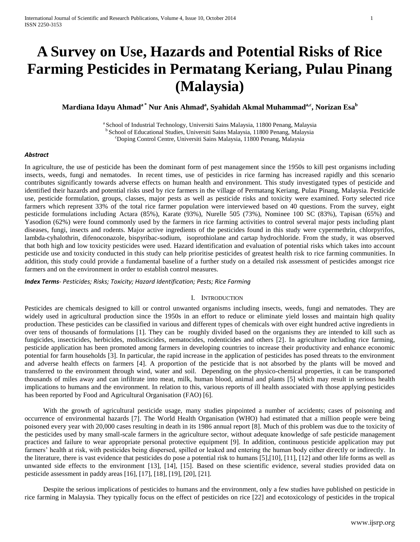# **A Survey on Use, Hazards and Potential Risks of Rice Farming Pesticides in Permatang Keriang, Pulau Pinang (Malaysia)**

 $\mathbf{Mardiana\, Idayu\ Ahmad^a^* \ Nur\ Anis\ Ahmad^a, Syahidah Akmal\ Muhammad^a, Norizan Esa^b}$ 

a School of Industrial Technology, Universiti Sains Malaysia, 11800 Penang, Malaysia <sup>b</sup> School of Educational Studies, Universiti Sains Malaysia, 11800 Penang, Malaysia <sup>c</sup>Doping Control Centre, Universiti Sains Malaysia, 11800 Penang, Malaysia

#### *Abstract*

In agriculture, the use of pesticide has been the dominant form of pest management since the 1950s to kill pest organisms including insects, weeds, fungi and nematodes. In recent times, use of pesticides in rice farming has increased rapidly and this scenario contributes significantly towards adverse effects on human health and environment. This study investigated types of pesticide and identified their hazards and potential risks used by rice farmers in the village of Permatang Keriang, Pulau Pinang, Malaysia. Pesticide use, pesticide formulation, groups, classes, major pests as well as pesticide risks and toxicity were examined. Forty selected rice farmers which represent 33% of the total rice farmer population were interviewed based on 40 questions. From the survey, eight pesticide formulations including Actara (85%), Karate (93%), Nurelle 505 (73%), Nominee 100 SC (83%), Tapisan (65%) and Yasodion (62%) were found commonly used by the farmers in rice farming activities to control several major pests including plant diseases, fungi, insects and rodents. Major active ingredients of the pesticides found in this study were cypermethrin, chlorpyrifos, lambda-cyhalothrin, difenoconazole, bispyribac-sodium, isoprothiolane and cartap hydrochloride. From the study, it was observed that both high and low toxicity pesticides were used. Hazard identification and evaluation of potential risks which takes into account pesticide use and toxicity conducted in this study can help prioritise pesticides of greatest health risk to rice farming communities. In addition, this study could provide a fundamental baseline of a further study on a detailed risk assessment of pesticides amongst rice farmers and on the environment in order to establish control measures.

#### *Index Terms- Pesticides; Risks; Toxicity; Hazard Identification; Pests; Rice Farming*

#### I. INTRODUCTION

Pesticides are chemicals designed to kill or control unwanted organisms including insects, weeds, fungi and nematodes. They are widely used in agricultural production since the 1950s in an effort to reduce or eliminate yield losses and maintain high quality production. These pesticides can be classified in various and different types of chemicals with over eight hundred active ingredients in over tens of thousands of formulations [1]. They can be roughly divided based on the organisms they are intended to kill such as fungicides, insecticides, herbicides, molluscicides, nematocides, rodenticides and others [2]. In agriculture including rice farming, pesticide application has been promoted among farmers in developing countries to increase their productivity and enhance economic potential for farm households [3]. In particular, the rapid increase in the application of pesticides has posed threats to the environment and adverse health effects on farmers [4]. A proportion of the pesticide that is not absorbed by the plants will be moved and transferred to the environment through wind, water and soil. Depending on the physico-chemical properties, it can be transported thousands of miles away and can infiltrate into meat, milk, human blood, animal and plants [5] which may result in serious health implications to humans and the environment. In relation to this, various reports of ill health associated with those applying pesticides has been reported by Food and Agricultural Organisation (FAO) [6].

With the growth of agricultural pesticide usage, many studies pinpointed a number of accidents; cases of poisoning and occurrence of environmental hazards [7]. The World Health Organisation (WHO) had estimated that a million people were being poisoned every year with 20,000 cases resulting in death in its 1986 annual report [8]. Much of this problem was due to the toxicity of the pesticides used by many small-scale farmers in the agriculture sector, without adequate knowledge of safe pesticide management practices and failure to wear appropriate personal protective equipment [9]. In addition, continuous pesticide application may put farmers' health at risk, with pesticides being dispersed, spilled or leaked and entering the human body either directly or indirectly. In the literature, there is vast evidence that pesticides do pose a potential risk to humans [5],[10], [11], [12] and other life forms as well as unwanted side effects to the environment [13], [14], [15]. Based on these scientific evidence, several studies provided data on pesticide assessment in paddy areas [16], [17], [18], [19], [20], [21].

Despite the serious implications of pesticides to humans and the environment, only a few studies have published on pesticide in rice farming in Malaysia. They typically focus on the effect of pesticides on rice [22] and ecotoxicology of pesticides in the tropical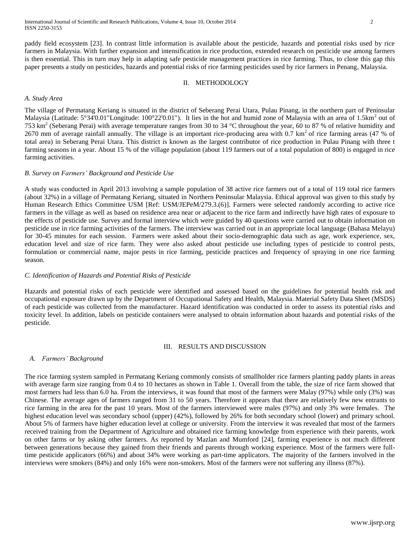paddy field ecosystem [23]. In contrast little information is available about the pesticide, hazards and potential risks used by rice farmers in Malaysia. With further expansion and intensification in rice production, extended research on pesticide use among farmers is then essential. This in turn may help in adapting safe pesticide management practices in rice farming. Thus, to close this gap this paper presents a study on pesticides, hazards and potential risks of rice farming pesticides used by rice farmers in Penang, Malaysia.

## II. METHODOLOGY

### *A. Study Area*

The village of Permatang Keriang is situated in the district of Seberang Perai Utara, Pulau Pinang, in the northern part of Peninsular Malaysia (Latitude:  $5^{\circ}34'0.01$ "Longitude: 100°22'0.01"). It lies in the hot and humid zone of Malaysia with an area of 1.5km<sup>2</sup> out of 753 km<sup>2</sup> (Seberang Perai) with average temperature ranges from 30 to 34 °C throughout the year, 60 to 87 % of relative humidity and 2670 mm of average rainfall annually. The village is an important rice-producing area with  $0.7 \text{ km}^2$  of rice farming areas (47 % of total area) in Seberang Perai Utara. This district is known as the largest contributor of rice production in Pulau Pinang with three t farming seasons in a year. About 15 % of the village population (about 119 farmers out of a total population of 800) is engaged in rice farming activities.

#### *B. Survey on Farmers' Background and Pesticide Use*

A study was conducted in April 2013 involving a sample population of 38 active rice farmers out of a total of 119 total rice farmers (about 32%) in a village of Permatang Keriang, situated in Northern Peninsular Malaysia. Ethical approval was given to this study by Human Research Ethics Committee USM [Ref: USM/JEPeM/279.3.(6)]. Farmers were selected randomly according to active rice farmers in the village as well as based on residence area near or adjacent to the rice farm and indirectly have high rates of exposure to the effects of pesticide use. Survey and formal interview which were guided by 40 questions were carried out to obtain information on pesticide use in rice farming activities of the farmers. The interview was carried out in an appropriate local language (Bahasa Melayu) for 30-45 minutes for each session. Farmers were asked about their socio-demographic data such as age, work experience, sex, education level and size of rice farm. They were also asked about pesticide use including types of pesticide to control pests, formulation or commercial name, major pests in rice farming, pesticide practices and frequency of spraying in one rice farming season.

## *C. Identification of Hazards and Potential Risks of Pesticide*

Hazards and potential risks of each pesticide were identified and assessed based on the guidelines for potential health risk and occupational exposure drawn up by the Department of Occupational Safety and Health, Malaysia. Material Safety Data Sheet (MSDS) of each pesticide was collected from the manufacturer. Hazard identification was conducted in order to assess its potential risks and toxicity level. In addition, labels on pesticide containers were analysed to obtain information about hazards and potential risks of the pesticide.

#### III. RESULTS AND DISCUSSION

#### *A. Farmers' Background*

The rice farming system sampled in Permatang Keriang commonly consists of smallholder rice farmers planting paddy plants in areas with average farm size ranging from 0.4 to 10 hectares as shown in Table 1. Overall from the table, the size of rice farm showed that most farmers had less than 6.0 ha. From the interviews, it was found that most of the farmers were Malay (97%) while only (3%) was Chinese. The average ages of farmers ranged from 31 to 50 years. Therefore it appears that there are relatively few new entrants to rice farming in the area for the past 10 years. Most of the farmers interviewed were males (97%) and only 3% were females. The highest education level was secondary school (upper) (42%), followed by 26% for both secondary school (lower) and primary school. About 5% of farmers have higher education level at college or university. From the interview it was revealed that most of the farmers received training from the Department of Agriculture and obtained rice farming knowledge from experience with their parents, work on other farms or by asking other farmers. As reported by Mazlan and Mumford [24], farming experience is not much different between generations because they gained from their friends and parents through working experience. Most of the farmers were fulltime pesticide applicators (66%) and about 34% were working as part-time applicators. The majority of the farmers involved in the interviews were smokers (84%) and only 16% were non-smokers. Most of the farmers were not suffering any illness (87%).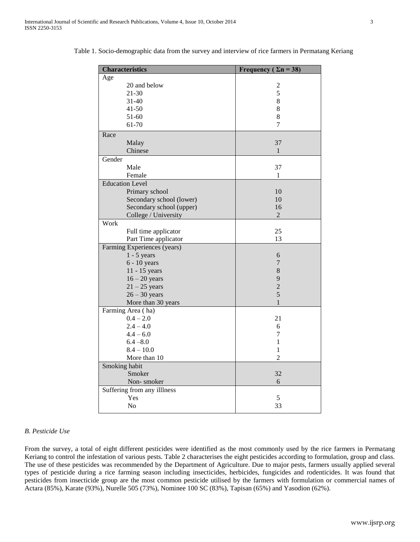| <b>Characteristics</b>      | Frequency ( $\Sigma$ n = 38) |  |  |  |
|-----------------------------|------------------------------|--|--|--|
| Age                         |                              |  |  |  |
| 20 and below                | $\overline{c}$               |  |  |  |
| 21-30                       | 5                            |  |  |  |
| $31 - 40$                   | 8                            |  |  |  |
| $41 - 50$                   | 8                            |  |  |  |
| $51 - 60$                   | $\,8\,$                      |  |  |  |
| 61-70                       | 7                            |  |  |  |
| Race                        |                              |  |  |  |
| Malay                       | 37                           |  |  |  |
| Chinese                     | $\mathbf{1}$                 |  |  |  |
| Gender                      |                              |  |  |  |
| Male                        | 37                           |  |  |  |
| Female                      | 1                            |  |  |  |
| <b>Education Level</b>      |                              |  |  |  |
| Primary school              | 10                           |  |  |  |
| Secondary school (lower)    | 10                           |  |  |  |
| Secondary school (upper)    | 16                           |  |  |  |
| College / University        | 2                            |  |  |  |
| Work                        |                              |  |  |  |
| Full time applicator        | 25                           |  |  |  |
| Part Time applicator        | 13                           |  |  |  |
| Farming Experiences (years) |                              |  |  |  |
| $1 - 5$ years               | 6                            |  |  |  |
| $6 - 10$ years              | 7                            |  |  |  |
| 11 - 15 years               | 8                            |  |  |  |
| $16 - 20$ years             | 9                            |  |  |  |
| $21 - 25$ years             | $\overline{2}$               |  |  |  |
| $26 - 30$ years             | 5                            |  |  |  |
| More than 30 years          | $\mathbf{1}$                 |  |  |  |
| Farming Area (ha)           |                              |  |  |  |
| $0.4 - 2.0$                 | 21                           |  |  |  |
| $2.4 - 4.0$                 | 6                            |  |  |  |
| $4.4 - 6.0$                 | 7                            |  |  |  |
| $6.4 - 8.0$                 | 1                            |  |  |  |
| $8.4 - 10.0$                | 1                            |  |  |  |
| More than 10                | $\overline{2}$               |  |  |  |
| Smoking habit               |                              |  |  |  |
| Smoker                      | 32                           |  |  |  |
| Non-smoker                  | 6                            |  |  |  |
| Suffering from any illlness |                              |  |  |  |
| Yes                         | 5                            |  |  |  |
| No                          | 33                           |  |  |  |

Table 1. Socio-demographic data from the survey and interview of rice farmers in Permatang Keriang

## *B. Pesticide Use*

From the survey, a total of eight different pesticides were identified as the most commonly used by the rice farmers in Permatang Keriang to control the infestation of various pests. Table 2 characterises the eight pesticides according to formulation, group and class. The use of these pesticides was recommended by the Department of Agriculture. Due to major pests, farmers usually applied several types of pesticide during a rice farming season including insecticides, herbicides, fungicides and rodenticides. It was found that pesticides from insecticide group are the most common pesticide utilised by the farmers with formulation or commercial names of Actara (85%), Karate (93%), Nurelle 505 (73%), Nominee 100 SC (83%), Tapisan (65%) and Yasodion (62%).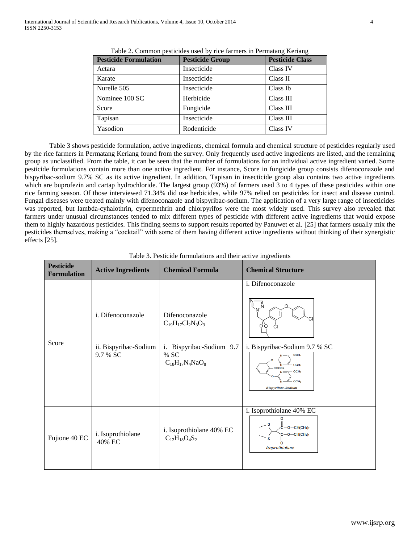| <b>Pesticide Formulation</b> | <b>Pesticide Group</b> | <b>Pesticide Class</b> |
|------------------------------|------------------------|------------------------|
| Actara                       | Insecticide            | Class IV               |
| Karate                       | Insecticide            | Class II               |
| Nurelle 505                  | Insecticide            | Class Ib               |
| Nominee 100 SC               | Herbicide              | Class III              |
| Score                        | Fungicide              | Class III              |
| Tapisan                      | Insecticide            | Class III              |
| Yasodion                     | Rodenticide            | Class IV               |

Table 2. Common pesticides used by rice farmers in Permatang Keriang

 Table 3 shows pesticide formulation, active ingredients, chemical formula and chemical structure of pesticides regularly used by the rice farmers in Permatang Keriang found from the survey. Only frequently used active ingredients are listed, and the remaining group as unclassified. From the table, it can be seen that the number of formulations for an individual active ingredient varied. Some pesticide formulations contain more than one active ingredient. For instance, Score in fungicide group consists difenoconazole and bispyribac-sodium 9.7% SC as its active ingredient. In addition, Tapisan in insecticide group also contains two active ingredients which are buprofezin and cartap hydrochloride. The largest group (93%) of farmers used 3 to 4 types of these pesticides within one rice farming season. Of those interviewed 71.34% did use herbicides, while 97% relied on pesticides for insect and disease control. Fungal diseases were treated mainly with difenoconazole and bispyribac-sodium. The application of a very large range of insecticides was reported, but lambda-cyhalothrin, cypermethrin and chlorpyrifos were the most widely used. This survey also revealed that farmers under unusual circumstances tended to mix different types of pesticide with different active ingredients that would expose them to highly hazardous pesticides. This finding seems to support results reported by Panuwet et al. [25] that farmers usually mix the pesticides themselves, making a "cocktail" with some of them having different active ingredients without thinking of their synergistic effects [25].

| <b>Pesticide</b><br><b>Formulation</b> | <b>Active Ingredients</b>                              | <b>Chemical Formula</b>                                                                                     | <b>Chemical Structure</b>                                                                                                                                                               |
|----------------------------------------|--------------------------------------------------------|-------------------------------------------------------------------------------------------------------------|-----------------------------------------------------------------------------------------------------------------------------------------------------------------------------------------|
| Score                                  | i. Difenoconazole<br>ii. Bispyribac-Sodium<br>9.7 % SC | Difenoconazole<br>$C_{19}H_{17}Cl_2N_3O_3$<br>Bispyribac-Sodium 9.7<br>i.<br>% SC<br>$C_{18}H_{17}N_4NaO_8$ | i. Difenoconazole<br>Ň<br>μ<br>oο<br>i. Bispyribac-Sodium 9.7 % SC<br>OCH <sub>3</sub><br>OCH <sub>3</sub><br>COONa<br>OCH <sub>3</sub><br>OCH <sub>3</sub><br><b>Bispyribac-Sodium</b> |
| Fujione 40 EC                          | i. Isoprothiolane<br>40% EC                            | i. Isoprothiolane 40% EC<br>$C_{12}H_{18}O_4S_2$                                                            | i. Isoprothiolane 40% EC<br>റ<br>$O$ - CH(CH <sub>3</sub> ) <sub>2</sub><br>$O$ —CH(CH <sub>3</sub> ) <sub>2</sub><br>Isoprothiolane                                                    |

| Table 3. Pesticide formulations and their active ingredients |  |  |  |  |  |  |  |  |
|--------------------------------------------------------------|--|--|--|--|--|--|--|--|
|--------------------------------------------------------------|--|--|--|--|--|--|--|--|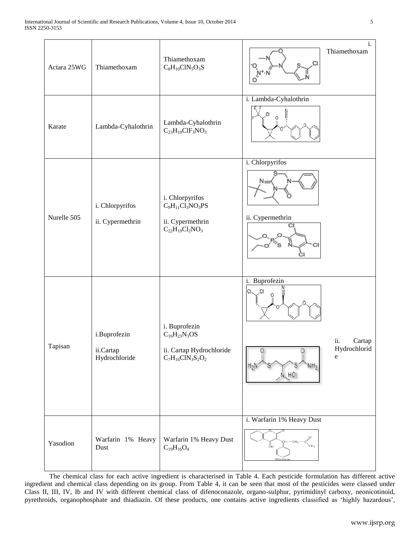| Actara 25WG | Thiamethoxam                               | Thiamethoxam<br>$C_8H_{10}CIN_5O_3S$                                                       | i.<br>Thiamethoxam<br>CI,                                                                                           |
|-------------|--------------------------------------------|--------------------------------------------------------------------------------------------|---------------------------------------------------------------------------------------------------------------------|
| Karate      | Lambda-Cyhalothrin                         | Lambda-Cyhalothrin<br>$C_{23}H_{19}CIF_3NO_3$                                              | i. Lambda-Cyhalothrin                                                                                               |
| Nurelle 505 | i. Chlorpyrifos<br>ii. Cypermethrin        | i. Chlorpyrifos<br>$C_9H_{11}Cl_3NO_3PS$<br>ii. Cypermethrin<br>$C_{22}H_{19}Cl_2NO_3$     | i. Chlorpyrifos<br>ii. Cypermethrin<br>СI                                                                           |
| Tapisan     | i.Buprofezin<br>ii.Cartap<br>Hydrochloride | i. Buprofezin<br>$C_{16}H_{23}N_3OS$<br>ii. Cartap Hydrochloride<br>$C_7H_{16}CIN_3S_2O_2$ | i. Buprofezin<br>CI.<br>.CI<br>ii.<br>Cartap<br>Hydrochlorid<br>e<br>NH <sub>2</sub><br>$H_2$<br>$N$ <sub>HCI</sub> |
| Yasodion    | Warfarin 1% Heavy<br>Dust                  | Warfarin 1% Heavy Dust<br>$\rm{C}_{19}H_{16}O_4$                                           | i. Warfarin 1% Heavy Dust<br>$-CH3$<br>.<br>СН <sub>э</sub><br>óн<br>Warfarin                                       |

The chemical class for each active ingredient is characterised in Table 4. Each pesticide formulation has different active ingredient and chemical class depending on its group. From Table 4, it can be seen that most of the pesticides were classed under Class II, III, IV, Ib and IV with different chemical class of difenoconazole, organo-sulphur, pyrimidinyl carboxy, neonicotinoid, pyrethroids, organophosphate and thiadiazin. Of these products, one contains active ingredients classified as 'highly hazardous',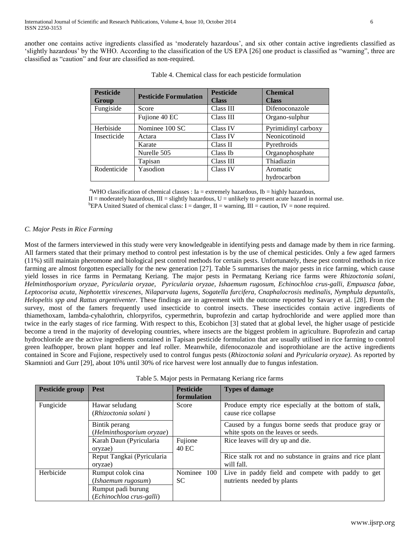another one contains active ingredients classified as 'moderately hazardous', and six other contain active ingredients classified as 'slightly hazardous' by the WHO. According to the classification of the US EPA [26] one product is classified as "warning", three are classified as "caution" and four are classified as non-required.

| <b>Pesticide</b> | <b>Pesticide Formulation</b> | <b>Pesticide</b> | <b>Chemical</b>     |  |
|------------------|------------------------------|------------------|---------------------|--|
| Group            |                              | <b>Class</b>     | <b>Class</b>        |  |
| Fungiside        | Score                        | Class III        | Difenoconazole      |  |
|                  | Fujione 40 EC                | Class III        | Organo-sulphur      |  |
| Herbiside        | Nominee 100 SC               | Class IV         | Pyrimidinyl carboxy |  |
| Insecticide      | Actara                       | Class IV         | Neonicotinoid       |  |
|                  | Karate                       | Class II         | Pyrethroids         |  |
|                  | Nurelle 505                  | Class Ib         | Organophosphate     |  |
|                  | Tapisan                      | Class III        | Thiadiazin          |  |
| Rodenticide      | Yasodion                     | Class IV         | Aromatic            |  |
|                  |                              |                  | hydrocarbon         |  |

|  |  |  |  |  | Table 4. Chemical class for each pesticide formulation |
|--|--|--|--|--|--------------------------------------------------------|
|--|--|--|--|--|--------------------------------------------------------|

<sup>a</sup>WHO classification of chemical classes : Ia = extremely hazardous, Ib = highly hazardous,

 $II =$  moderately hazardous,  $III =$  slightly hazardous,  $U =$  unlikely to present acute hazard in normal use.

<sup>b</sup>EPA United Stated of chemical class: I = danger, II = warning, III = caution, IV = none required.

# *C. Major Pests in Rice Farming*

Most of the farmers interviewed in this study were very knowledgeable in identifying pests and damage made by them in rice farming. All farmers stated that their primary method to control pest infestation is by the use of chemical pesticides. Only a few aged farmers (11%) still maintain pheromone and biological pest control methods for certain pests. Unfortunately, these pest control methods in rice farming are almost forgotten especially for the new generation [27]. Table 5 summarises the major pests in rice farming, which cause yield losses in rice farms in Permatang Keriang. The major pests in Permatang Keriang rice farms were *Rhizoctonia solani, Helminthosporium oryzae, Pyricularia oryzae, Pyricularia oryzae, Ishaemum rugosum, Echinochloa crus-galli, Empuasca fabae, Leptocorisa acuta, Nephotettix virescenes, Nilaparvata lugens, Sogatella furcifera, Cnaphalocrosis medinalis, Nymphula depuntalis, Helopeltis spp and Rattus argentiventer.* These findings are in agreement with the outcome reported by Savary et al. [28]. From the survey, most of the famers frequently used insecticide to control insects. These insecticides contain active ingredients of thiamethoxam, lambda-cyhalothrin, chlorpyrifos, cypermethrin, buprofezin and cartap hydrochloride and were applied more than twice in the early stages of rice farming. With respect to this, Ecobichon [3] stated that at global level, the higher usage of pesticide become a trend in the majority of developing countries, where insects are the biggest problem in agriculture. Buprofezin and cartap hydrochloride are the active ingredients contained in Tapisan pesticide formulation that are usually utilised in rice farming to control green leafhopper, brown plant hopper and leaf roller. Meanwhile, difenoconazole and isoprothiolane are the active ingredients contained in Score and Fujione, respectively used to control fungus pests (*Rhizoctonia solani* and *Pyricularia oryzae)*. As reported by Skamnioti and Gurr [29], about 10% until 30% of rice harvest were lost annually due to fungus infestation.

Table 5. Major pests in Permatang Keriang rice farms

| Pesticide group | <b>Pest</b>                | <b>Pesticide</b> | <b>Types of damage</b>                                   |
|-----------------|----------------------------|------------------|----------------------------------------------------------|
|                 |                            | formulation      |                                                          |
|                 |                            |                  |                                                          |
| Fungicide       | Hawar seludang             | Score            | Produce empty rice especially at the bottom of stalk,    |
|                 | (Rhizoctonia solani)       |                  | cause rice collapse                                      |
|                 | Bintik perang              |                  | Caused by a fungus borne seeds that produce gray or      |
|                 | (Helminthosporium oryzae)  |                  | white spots on the leaves or seeds.                      |
|                 | Karah Daun (Pyricularia    | Fujione          | Rice leaves will dry up and die.                         |
|                 | oryzae)                    | 40 EC            |                                                          |
|                 | Reput Tangkai (Pyricularia |                  | Rice stalk rot and no substance in grains and rice plant |
|                 | oryzae)                    |                  | will fall.                                               |
| Herbicide       | Rumput colok cina          | Nominee<br>100   | Live in paddy field and compete with paddy to get        |
|                 | (Ishaemum rugosum)         | SC.              | nutrients needed by plants                               |
|                 | Rumput padi burung         |                  |                                                          |
|                 | (Echinochloa crus-galli)   |                  |                                                          |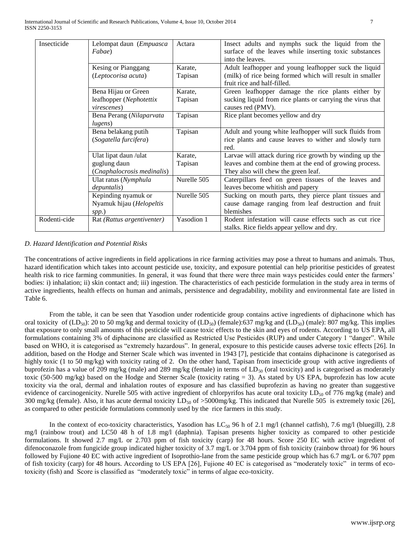| Insecticide  | Lelompat daun (Empuasca    | Actara      | Insect adults and nymphs suck the liquid from the          |
|--------------|----------------------------|-------------|------------------------------------------------------------|
|              | Fabae)                     |             | surface of the leaves while inserting toxic substances     |
|              |                            |             | into the leaves.                                           |
|              | Kesing or Pianggang        | Karate,     | Adult leafhopper and young leafhopper suck the liquid      |
|              | (Leptocorisa acuta)        | Tapisan     | (milk) of rice being formed which will result in smaller   |
|              |                            |             | fruit rice and half-filled.                                |
|              | Bena Hijau or Green        | Karate,     | Green leafhopper damage the rice plants either by          |
|              | leafhopper (Nephotettix    | Tapisan     | sucking liquid from rice plants or carrying the virus that |
|              | <i>virescenes</i> )        |             | causes red (PMV).                                          |
|              | Bena Perang (Nilaparvata   | Tapisan     | Rice plant becomes yellow and dry                          |
|              | lugens)                    |             |                                                            |
|              | Bena belakang putih        | Tapisan     | Adult and young white leafhopper will suck fluids from     |
|              | (Sogatella furcifera)      |             | rice plants and cause leaves to wither and slowly turn     |
|              |                            |             | red.                                                       |
|              | Ulat lipat daun /ulat      | Karate,     | Larvae will attack during rice growth by winding up the    |
|              | guglung daun               | Tapisan     | leaves and combine them at the end of growing process.     |
|              | (Cnaphalocrosis medinalis) |             | They also will chew the green leaf.                        |
|              | Ulat ratus (Nymphula       | Nurelle 505 | Caterpillars feed on green tissues of the leaves and       |
|              | <i>depuntalis</i> )        |             | leaves become whitish and papery                           |
|              | Kepinding nyamuk or        | Nurelle 505 | Sucking on mouth parts, they pierce plant tissues and      |
|              | Nyamuk hijau (Helopeltis   |             | cause damage ranging from leaf destruction and fruit       |
|              | spp.)                      |             | blemishes                                                  |
| Rodenti-cide | Rat (Rattus argentiventer) | Yasodion 1  | Rodent infestation will cause effects such as cut rice     |
|              |                            |             | stalks. Rice fields appear yellow and dry.                 |

## *D. Hazard Identification and Potential Risks*

The concentrations of active ingredients in field applications in rice farming activities may pose a threat to humans and animals. Thus, hazard identification which takes into account pesticide use, toxicity, and exposure potential can help prioritise pesticides of greatest health risk to rice farming communities. In general, it was found that there were three main ways pesticides could enter the farmers' bodies: i) inhalation; ii) skin contact and; iii) ingestion. The characteristics of each pesticide formulation in the study area in terms of active ingredients, health effects on human and animals, persistence and degradability, mobility and environmental fate are listed in Table 6.

From the table, it can be seen that Yasodion under rodenticide group contains active ingredients of diphacinone which has oral toxicity of  $(LD_{50})$ : 20 to 50 mg/kg and dermal toxicity of  $(LD_{50})$  (female):637 mg/kg and  $(LD_{50})$  (male): 807 mg/kg. This implies that exposure to only small amounts of this pesticide will cause toxic effects to the skin and eyes of rodents. According to US EPA, all formulations containing 3% of diphacinone are classified as Restricted Use Pesticides (RUP) and under Category 1 "danger". While based on WHO, it is categorised as "extremely hazardous". In general, exposure to this pesticide causes adverse toxic effects [26]. In addition, based on the Hodge and Sterner Scale which was invented in 1943 [7], pesticide that contains diphacinone is categorised as highly toxic (1 to 50 mg/kg) with toxicity rating of 2. On the other hand, Tapisan from insecticide group with active ingredients of buprofezin has a value of 209 mg/kg (male) and 289 mg/kg (female) in terms of  $LD_{50}$  (oral toxicity) and is categorised as moderately toxic (50-500 mg/kg) based on the Hodge and Sterner Scale (toxicity rating = 3). As stated by US EPA, buprofezin has low acute toxicity via the oral, dermal and inhalation routes of exposure and has classified buprofezin as having no greater than suggestive evidence of carcinogenicity. Nurelle 505 with active ingredient of chlorpyrifos has acute oral toxicity LD<sub>50</sub> of 776 mg/kg (male) and 300 mg/kg (female). Also, it has acute dermal toxicity  $LD_{50}$  of >5000mg/kg. This indicated that Nurelle 505 is extremely toxic [26], as compared to other pesticide formulations commonly used by the rice farmers in this study.

In the context of eco-toxicity characteristics, Yasodion has  $LC_{50}$  96 h of 2.1 mg/l (channel catfish), 7.6 mg/l (bluegill), 2.8 mg/l (rainbow trout) and LC50 48 h of 1.8 mg/l (daphnia). Tapisan presents higher toxicity as compared to other pesticide formulations. It showed 2.7 mg/L or 2.703 ppm of fish toxicity (carp) for 48 hours. Score 250 EC with active ingredient of difenoconazole from fungicide group indicated higher toxicity of 3.7 mg/L or 3.704 ppm of fish toxicity (rainbow throat) for 96 hours followed by Fujione 40 EC with active ingredient of Isoprothio-lane from the same pesticide group which has 6.7 mg/L or 6.707 ppm of fish toxicity (carp) for 48 hours. According to US EPA [26], Fujione 40 EC is categorised as "moderately toxic" in terms of ecotoxicity (fish) and Score is classified as "moderately toxic" in terms of algae eco-toxicity.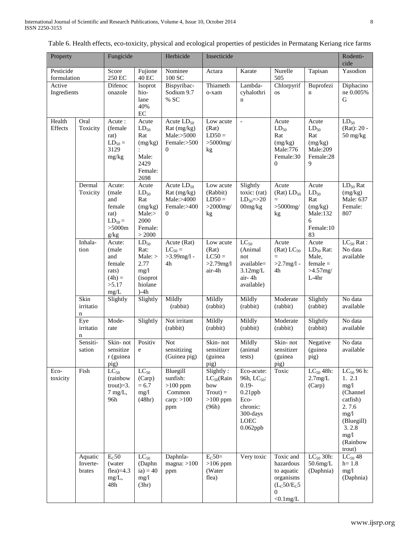| Property                 |                               | Fungicide                                                                   |                                                                                    | Herbicide                                                                   | Insecticide                                                             |                                                                                                                               |                                                                                                                      |                                                                          | Rodenti-<br>cide                                                                                                                |
|--------------------------|-------------------------------|-----------------------------------------------------------------------------|------------------------------------------------------------------------------------|-----------------------------------------------------------------------------|-------------------------------------------------------------------------|-------------------------------------------------------------------------------------------------------------------------------|----------------------------------------------------------------------------------------------------------------------|--------------------------------------------------------------------------|---------------------------------------------------------------------------------------------------------------------------------|
| Pesticide<br>formulation |                               | Score<br>250 EC                                                             | Fujione<br><b>40 EC</b>                                                            | Nominee<br>100 SC                                                           | Actara                                                                  | Karate                                                                                                                        | Nurelle<br>505                                                                                                       | Tapisan                                                                  | Yasodion                                                                                                                        |
| Active<br>Ingredients    |                               | Difenoc<br>onazole                                                          | Isoprot<br>hio-<br>lane<br>40%<br>$\rm EC$                                         | Bispyribac-<br>Sodium 9.7<br>% SC                                           | Thiameth<br>o-xam                                                       | Lambda-<br>cyhalothri<br>$\mathbf n$                                                                                          | Chlorpyrif<br><b>OS</b>                                                                                              | Buprofezi<br>n                                                           | Diphacino<br>ne 0.005%<br>G                                                                                                     |
| Health<br>Effects        | Oral<br>Toxicity              | Acute:<br>(female<br>rat)<br>$LD_{50} =$<br>3129<br>mg/kg                   | Acute<br>$LD_{50}$<br>Rat<br>(mg/kg)<br>Male:<br>2429<br>Female:<br>2698           | Acute $LD_{50}$<br>Rat (mg/kg)<br>Male:>5000<br>Female:>500<br>$\mathbf{0}$ | Low acute<br>(Rat)<br>$LD50 =$<br>$>5000$ mg/<br>kg                     | $\overline{\phantom{a}}$                                                                                                      | Acute<br>$LD_{50}$<br>Rat<br>(mg/kg)<br>Male:776<br>Female:30<br>$\mathbf{0}$                                        | Acute<br>$LD_{50}$<br>Rat<br>(mg/kg)<br>Male:209<br>Female:28<br>9       | $LD_{50}$<br>$(Rat): 20 -$<br>$50$ mg/kg                                                                                        |
|                          | Dermal<br>Toxicity            | Acute:<br>(male<br>and<br>female<br>rat)<br>$LD_{50} =$<br>$>5000m$<br>g/kg | Acute<br>$LD_{50}$<br>Rat<br>(mg/kg)<br>Male:><br>2000<br>Female:<br>> 2000        | Acute $LD_{50}$<br>Rat (mg/kg)<br>Male:>4000<br>Female:>400<br>$\mathbf{0}$ | Low acute<br>(Rabbit)<br>$LD50 =$<br>$>2000$ mg/<br>kg                  | Slightly<br>toxic: (rat)<br>$LD_{50} = > 20$<br>00mg/kg                                                                       | Acute<br>$(Rat)$ $LD_{50}$<br>$=$<br>$>5000$ mg/<br>kg                                                               | Acute<br>$LD_{50}$<br>Rat<br>(mg/kg)<br>Male:132<br>6<br>Female:10<br>83 | $LD_{50}$ Rat<br>(mg/kg)<br>Male: 637<br>Female:<br>807                                                                         |
|                          | Inhala-<br>tion               | Acute:<br>(male<br>and<br>female<br>rats)<br>$(4h) =$<br>>5.17<br>mg/L      | $LD_{50}$<br>Rat:<br>Male:<br>2.77<br>mg/1<br><i>(isoprot</i><br>hiolane<br>$)-4h$ | Acute (Rat)<br>$LC_{50} =$<br>$>3.99$ mg/l -<br>4h                          | Low acute<br>(Rat)<br>$LC50 =$<br>$>2.79$ mg/l<br>air-4h                | $LC_{50}$<br>(Animal<br>not<br>available=<br>3.12mg/L<br>air-4h<br>available)                                                 | Acute<br>$(Rat) LC_{50}$<br>$=$<br>$>2.7$ mg/l -<br>4h                                                               | Acute<br>$LD_{50}$ Rat:<br>Male,<br>$female =$<br>$>4.57$ mg/<br>$L-4hr$ | $LC_{50}$ Rat :<br>No data<br>available                                                                                         |
|                          | Skin<br>irritatio<br>n        | Slightly                                                                    | Slightly                                                                           | Mildly<br>(rabbit)                                                          | Mildly<br>(rabbit)                                                      | Mildly<br>(rabbit)                                                                                                            | Moderate<br>(rabbit)                                                                                                 | Slightly<br>(rabbit)                                                     | No data<br>available                                                                                                            |
|                          | Eye<br>irritatio<br>n         | Mode-<br>rate                                                               | Slightly                                                                           | Not irritant<br>(rabbit)                                                    | Mildly<br>(rabbit)                                                      | Mildly<br>(rabbit)                                                                                                            | Moderate<br>(rabbit)                                                                                                 | Slightly<br>(rabbit)                                                     | No data<br>available                                                                                                            |
|                          | Sensiti-<br>sation            | Skin-not<br>sensitize<br>r (guinea<br>pig)                                  | Positiv<br>e                                                                       | Not<br>sensitizing<br>(Guinea pig)                                          | Skin-not<br>sensitizer<br>(guinea<br>pig)                               | Mildly<br>(animal<br>tests)                                                                                                   | Skin-not<br>sensitizer<br>(guinea<br>pig)                                                                            | Negative<br>(guinea<br>pig)                                              | No data<br>available                                                                                                            |
| Eco-<br>toxicity         | Fish                          | $LC_{50}$<br>(rainbow<br>trout) $=3$ .<br>$7$ mg/L,<br>96h                  | $LC_{50}$<br>(Carp)<br>$= 6.7$<br>mg/l<br>(48hr)                                   | Bluegill<br>sunfish:<br>$>100$ ppm<br>Common<br>carp: $>100$<br>ppm         | Slightly:<br>$LC_{50}$ (Rain<br>bow<br>$Trout$ =<br>$>100$ ppm<br>(96h) | Eco-acute:<br>96h, LC <sub>50</sub> :<br>$0.19 -$<br>$0.21$ ppb<br>Eco-<br>chronic:<br>300-days<br><b>LOEC</b><br>$0.062$ ppb | Toxic                                                                                                                | $LC_{50}$ 48h:<br>2.7mg/L<br>(Carp)                                      | $LC_{50}$ 96 h:<br>1. 2.1<br>mg/l<br>(Channel<br>catfish)<br>2.7.6<br>mg/1<br>(Bluegill)<br>3.2.8<br>mg/1<br>(Rainbow<br>trout) |
|                          | Aquatic<br>Inverte-<br>brates | $E_C$ 50<br>(water<br>flea $)=4.3$<br>$mg/L$ ,<br>48h                       | $LC_{50}$<br>(Daphn<br>ia) = $40$<br>mg/1<br>(3hr)                                 | Daphnla-<br>magna: $>100$<br>ppm                                            | $E_C$ 50=<br>$>106$ ppm<br>(Water<br>flea)                              | Very toxic                                                                                                                    | Toxic and<br>hazardous<br>to aquatic<br>organisms<br>(L <sub>C</sub> 50/E <sub>C</sub> 5<br>$\Omega$<br>$< 0.1$ mg/L | $LC_{50}$ 30h:<br>$50.6$ mg/L<br>(Daphnia)                               | $LC_{50}$ 48<br>$h = 1.8$<br>mg/1<br>(Daphnia)                                                                                  |

Table 6. Health effects, eco-toxicity, physical and ecological properties of pesticides in Permatang Keriang rice farms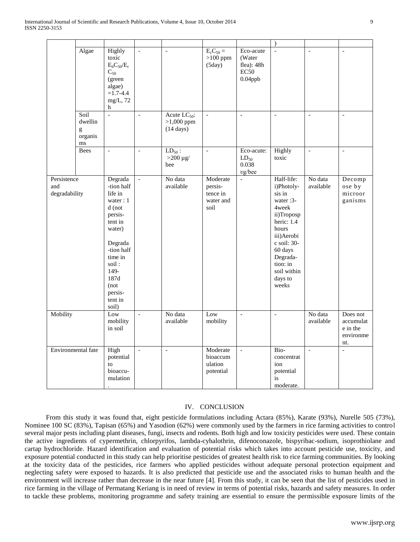|                                     |                                             |                                                                                                                                                                                             |                          |                                                          |                                                      |                                                         | $\lambda$                                                                                                                                                                                         |                          |                                                       |
|-------------------------------------|---------------------------------------------|---------------------------------------------------------------------------------------------------------------------------------------------------------------------------------------------|--------------------------|----------------------------------------------------------|------------------------------------------------------|---------------------------------------------------------|---------------------------------------------------------------------------------------------------------------------------------------------------------------------------------------------------|--------------------------|-------------------------------------------------------|
|                                     | Algae                                       | Highly<br>toxic<br>$E_bC_{50}/E_r$<br>$C_{50}$<br>(green<br>algae)<br>$=1.7 - 4.4$<br>$mg/L$ , 72<br>h                                                                                      | $\frac{1}{2}$            | $\frac{1}{2}$                                            | $EcC50 =$<br>$>100$ ppm<br>(5day)                    | Eco-acute<br>(Water<br>flea): 48h<br>EC50<br>$0.04$ ppb | $\overline{a}$                                                                                                                                                                                    | $\bar{a}$                | $\equiv$                                              |
|                                     | Soil<br>dwellin<br>g<br>organis<br>$\rm ms$ | $\overline{a}$                                                                                                                                                                              | $\overline{\phantom{0}}$ | Acute $LC_{50}$ :<br>$>1,000$ ppm<br>$(14 \text{ days})$ | $\overline{\phantom{a}}$                             | $\overline{\phantom{a}}$                                | $\overline{\phantom{a}}$                                                                                                                                                                          | $\overline{a}$           | $\overline{\phantom{a}}$                              |
|                                     | Bees                                        | $\frac{1}{2}$                                                                                                                                                                               | $\overline{a}$           | $LD_{50}$ :<br>$>200 \mu g/$<br>bee                      | $\overline{\phantom{a}}$                             | Eco-acute:<br>$LD_{50}$<br>0.038<br>vg/bee              | Highly<br>toxic                                                                                                                                                                                   | $\overline{\phantom{a}}$ | $\overline{\phantom{a}}$                              |
| Persistence<br>and<br>degradability |                                             | Degrada<br>-tion half<br>life in<br>water: 1<br>d (not<br>persis-<br>tent in<br>water)<br>Degrada<br>-tion half<br>time in<br>soil:<br>149-<br>187d<br>(not)<br>persis-<br>tent in<br>soil) | $\overline{a}$           | No data<br>available                                     | Moderate<br>persis-<br>tence in<br>water and<br>soil | $\overline{a}$                                          | Half-life:<br>i)Photoly-<br>sis in<br>water: 3-<br>4week<br>ii)Troposp<br>heric: 1.4<br>hours<br>iii) Aerobi<br>c soil: 30-<br>60 days<br>Degrada-<br>tion: in<br>soil within<br>days to<br>weeks | No data<br>available     | Decomp<br>ose by<br>microor<br>ganisms                |
| Mobility                            |                                             | Low<br>mobility<br>in soil                                                                                                                                                                  | $\frac{1}{2}$            | No data<br>available                                     | Low<br>mobility                                      | $\overline{\phantom{0}}$                                | $\overline{a}$                                                                                                                                                                                    | No data<br>available     | Does not<br>accumulat<br>e in the<br>environme<br>nt. |
| Environmental fate                  |                                             | High<br>potential<br>to<br>bioaccu-<br>mulation                                                                                                                                             | $\overline{\phantom{0}}$ | $\overline{\phantom{a}}$                                 | Moderate<br>bioaccum<br>ulation<br>potential         | $\overline{\phantom{a}}$                                | Bio-<br>concentrat<br>ion<br>potential<br>is<br>moderate.                                                                                                                                         | $\frac{1}{2}$            | $\overline{\phantom{a}}$                              |

# IV. CONCLUSION

 From this study it was found that, eight pesticide formulations including Actara (85%), Karate (93%), Nurelle 505 (73%), Nominee 100 SC (83%), Tapisan (65%) and Yasodion (62%) were commonly used by the farmers in rice farming activities to control several major pests including plant diseases, fungi, insects and rodents. Both high and low toxicity pesticides were used. These contain the active ingredients of cypermethrin, chlorpyrifos, lambda-cyhalothrin, difenoconazole, bispyribac-sodium, isoprothiolane and cartap hydrochloride. Hazard identification and evaluation of potential risks which takes into account pesticide use, toxicity, and exposure potential conducted in this study can help prioritise pesticides of greatest health risk to rice farming communities. By looking at the toxicity data of the pesticides, rice farmers who applied pesticides without adequate personal protection equipment and neglecting safety were exposed to hazards. It is also predicted that pesticide use and the associated risks to human health and the environment will increase rather than decrease in the near future [4]. From this study, it can be seen that the list of pesticides used in rice farming in the village of Permatang Keriang is in need of review in terms of potential risks, hazards and safety measures. In order to tackle these problems, monitoring programme and safety training are essential to ensure the permissible exposure limits of the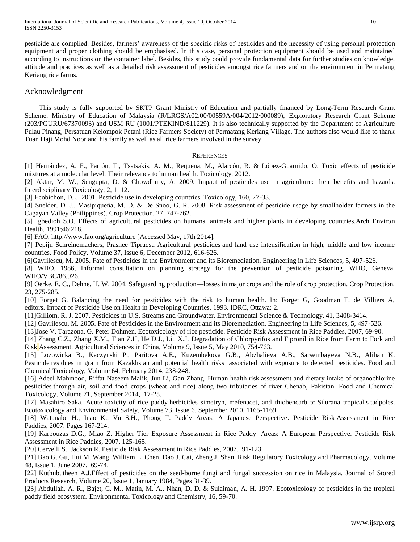pesticide are complied. Besides, farmers' awareness of the specific risks of pesticides and the necessity of using personal protection equipment and proper clothing should be emphasised. In this case, personal protection equipment should be used and maintained according to instructions on the container label. Besides, this study could provide fundamental data for further studies on knowledge, attitude and practices as well as a detailed risk assessment of pesticides amongst rice farmers and on the environment in Permatang Keriang rice farms.

# Acknowledgment

This study is fully supported by SKTP Grant Ministry of Education and partially financed by Long-Term Research Grant Scheme, Ministry of Education of Malaysia (R/LRGS/A02.00/00559A/004/2012/000089), Exploratory Research Grant Scheme (203/PGURU/67370093) and USM RU (1001/PTEKIND/811229). It is also technically supported by the Department of Agriculture Pulau Pinang, Persatuan Kelompok Petani (Rice Farmers Society) of Permatang Keriang Village. The authors also would like to thank Tuan Haji Mohd Noor and his family as well as all rice farmers involved in the survey.

## **REFERENCES**

[1] Hernández, A. F., Parrón, T., Tsatsakis, A. M., Requena, M., Alarcón, R. & López-Guarnido, O. Toxic effects of pesticide mixtures at a molecular level: Their relevance to human health. Toxicology. 2012.

[2] Aktar, M. W., Sengupta, D. & Chowdhury, A. 2009. Impact of pesticides use in agriculture: their benefits and hazards. Interdisciplinary Toxicology, 2, 1–12.

[3] Ecobichon, D. J. 2001. Pesticide use in developing countries. Toxicology, 160, 27-33.

[4] Snelder, D. J., Masipiqueña, M. D. & De Snoo, G. R. 2008. Risk assessment of pesticide usage by smallholder farmers in the Cagayan Valley (Philippines). Crop Protection, 27, 747-762.

[5] Igbedioh S.O. Effects of agricultural pesticides on humans, animals and higher plants in developing countries.Arch Environ Health. 1991;46:218.

[6] FAO, http://www.fao.org/agriculture [Accessed May, 17th 2014].

[7] Pepijn Schreinemachers, Prasnee Tipraqsa Agricultural pesticides [and land use intensification in high, middle and low income](http://www.sciencedirect.com/science/article/pii/S030691921200070X)  [countries.](http://www.sciencedirect.com/science/article/pii/S030691921200070X) Food Policy, Volume 37, Issue 6, December 2012, 616-626.

[6]Gavrilescu, M. 2005. Fate of Pesticides in the Environment and its Bioremediation. Engineering in Life Sciences, 5, 497-526.

[8] WHO, 1986, Informal consultation on planning strategy for the prevention of pesticide poisoning. WHO, Geneva. WHO/VBC/86.926.

[9] Oerke, E. C., Dehne, H. W. 2004. Safeguarding production—losses in major crops and the role of crop protection. Crop Protection, 23, 275-285.

[10] Forget G. Balancing the need for pesticides with the risk to human health. In: Forget G, Goodman T, de Villiers A, editors. Impact of Pesticide Use on Health in Developing Countries. 1993. IDRC, Ottawa: 2.

[11]Gilliom, R. J. 2007. Pesticides in U.S. Streams and Groundwater. Environmental Science & Technology, 41, 3408-3414.

[12] Gavrilescu, M. 2005. Fate of Pesticides in the Environment and its Bioremediation. Engineering in Life Sciences, 5, 497-526.

[13[\]Jose V. Tarazona, G. Peter Dohmen. Ecotoxicology of rice pesticide. Pesticide Risk Assessment](http://www.sciencedirect.com/science/article/pii/B9780444530875500060) in Rice Paddies, 2007, 69-90.

[14] Zhang C.Z., Zhang X.M., Tian Z.H, He D.J., Liu X.J. [Degradation of Chlorpyrifos and Fipronil in Rice](http://www.sciencedirect.com/science/article/pii/S1671292709601528) from Farm to Fork and Risk [Assessment.](http://www.sciencedirect.com/science/article/pii/S1671292709601528) Agricultural Sciences in China, Volume 9, Issue 5, May 2010, 754-763.

[15] Lozowicka B., Kaczynski P., Paritova A.E., Kuzembekova G.B., Abzhalieva A.B., Sarsembayeva N.B., Alihan K. Pesticide residues in grain from Kazakhstan and potential health risks associated with exposure to detected pesticides. Food and Chemical Toxicology, Volume 64, February 2014, 238-248.

[16] Adeel Mahmood, Riffat Naseem Malik, Jun Li, Gan Zhang. Human health risk assessment and dietary intake of organochlorine pesticides [through air, soil and food crops \(wheat and rice\) along two tributaries of river Chenab,](http://www.sciencedirect.com/science/article/pii/S0278691514002427) Pakistan. Food and Chemical Toxicology, Volume 71, September 2014, 17-25.

[17] Masahiro Saka. Acute toxicity of rice paddy [herbicides simetryn, mefenacet, and thiobencarb to](http://www.sciencedirect.com/science/article/pii/S0147651310000953) Silurana tropicalis tadpoles. Ecotoxicology and Environmental Safety, Volume 73, Issue 6, September 2010, 1165-1169.

[18] Watanabe H., Inao K., Vu S.H., Phong T. Paddy Areas: A Japanese Perspective. Pesticide Risk Assessment in Rice Paddies, 2007, Pages 167-214.

[19] Karpouzas D.G., Miao Z. [Higher Tier Exposure Assessment in Rice Paddy Areas: A European Perspective.](http://www.sciencedirect.com/science/article/pii/B9780444530875500084) Pesticide Risk Assessment in Rice Paddies, 2007, 125-165.

[20] Cervelli S., Jackson R. Pesticide Risk Assessment in Rice Paddies, 2007, 91-123

[21] Bao G. Gu, Hui M. Wang, William L. Chen, Dao J. Cai, Zheng J. Shan. Risk Regulatory Toxicology and Pharmacology, Volume 48, Issue 1, June 2007, 69-74.

[22] Kuthubutheen A.J.Effect of pesticides on the seed-borne fungi and fungal succession on rice in Malaysia. Journal of Stored Products Research, Volume 20, Issue 1, January 1984, Pages 31-39.

[23] Abdullah, A. R., Bajet, C. M., Matin, M. A., Nhan, D. D. & Sulaiman, A. H. 1997. Ecotoxicology of pesticides in the tropical paddy field ecosystem. Environmental Toxicology and Chemistry, 16, 59-70.